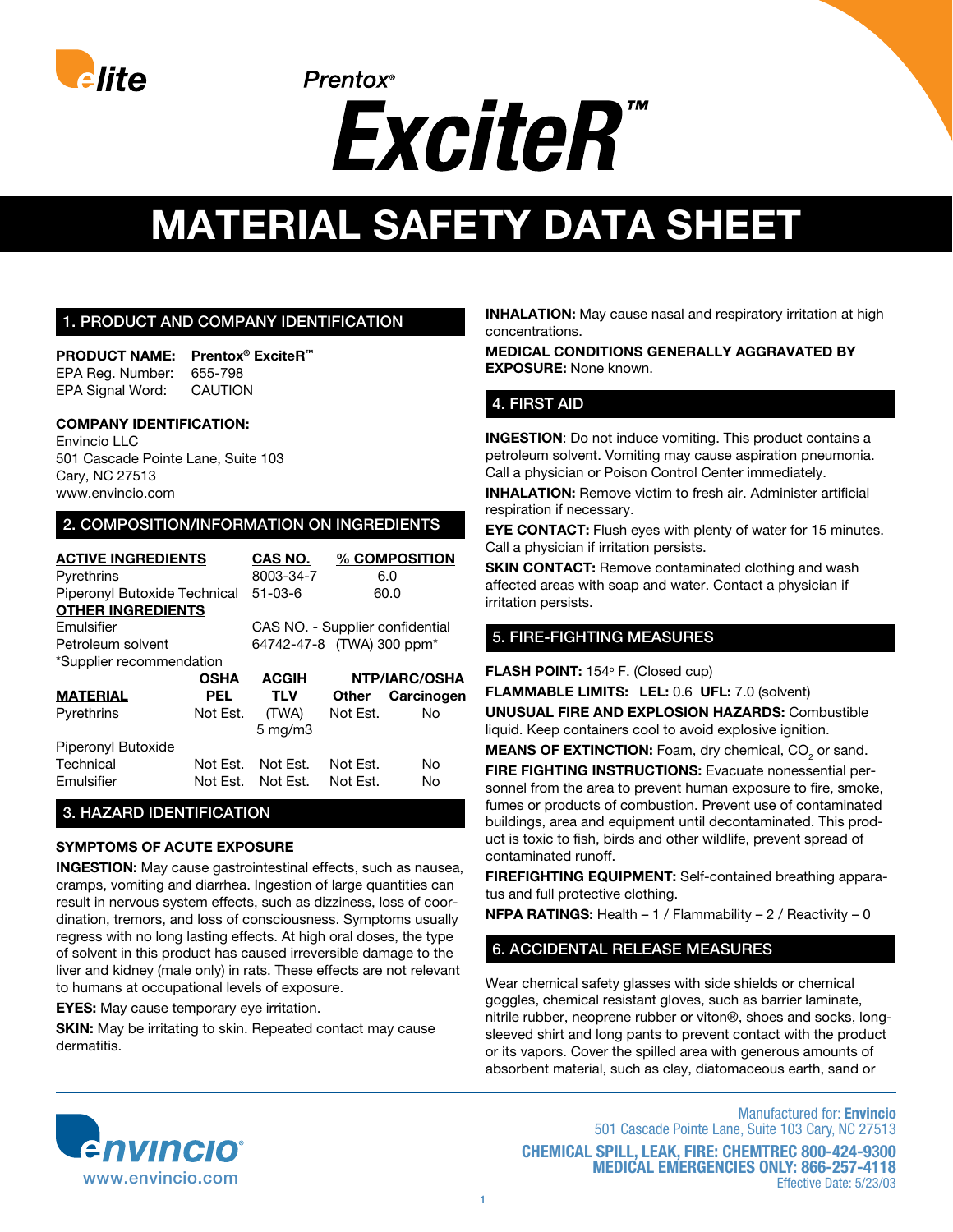

# **MATERIAL SAFETY DATA SHEET**

## 1. Product And Company Identification

**Product Name: Prentox® ExciteR™** EPA Reg. Number: 655-798 EPA Signal Word: CAUTION

#### **Company Identification:**

Envincio LLC 501 Cascade Pointe Lane, Suite 103 Cary, NC 27513 www.envincio.com

#### 2. Composition/information on ingredients

| <b>ACTIVE INGREDIENTS</b>    |             | <b>CAS NO.</b>                  |               | % COMPOSITION |
|------------------------------|-------------|---------------------------------|---------------|---------------|
| Pyrethrins                   |             | 8003-34-7                       |               | 6.0           |
| Piperonyl Butoxide Technical |             | $51 - 03 - 6$                   | 60.0          |               |
| <b>OTHER INGREDIENTS</b>     |             |                                 |               |               |
| <b>Fmulsifier</b>            |             | CAS NO. - Supplier confidential |               |               |
| Petroleum solvent            |             | 64742-47-8 (TWA) 300 ppm*       |               |               |
| *Supplier recommendation     |             |                                 |               |               |
|                              | <b>OSHA</b> | <b>ACGIH</b>                    | NTP/IARC/OSHA |               |
| MATERIAL                     | <b>PEL</b>  | <b>TLV</b>                      | Other         | Carcinogen    |
| Pyrethrins                   | Not Est.    | (TWA)                           | Not Est.      | N٥            |
|                              |             | $5 \text{ mg/m}$                |               |               |
| Piperonyl Butoxide           |             |                                 |               |               |
| Technical                    | Not Fst.    | Not Fst.                        | Not Est.      | Nο            |
| Emulsifier                   | Not Est.    | Not Est.                        | Not Est.      | No            |
|                              |             |                                 |               |               |

## 3. hazard identification

#### **Symptoms of Acute Exposure**

**Ingestion:** May cause gastrointestinal effects, such as nausea, cramps, vomiting and diarrhea. Ingestion of large quantities can result in nervous system effects, such as dizziness, loss of coordination, tremors, and loss of consciousness. Symptoms usually regress with no long lasting effects. At high oral doses, the type of solvent in this product has caused irreversible damage to the liver and kidney (male only) in rats. These effects are not relevant to humans at occupational levels of exposure.

**eyeS:** May cause temporary eye irritation.

**SKIN:** May be irritating to skin. Repeated contact may cause dermatitis.

**INHALATION:** May cause nasal and respiratory irritation at high concentrations.

**Medical Conditions Generally Aggravated by Exposure:** None known.

# 4. First Aid

**INGESTION:** Do not induce vomiting. This product contains a petroleum solvent. Vomiting may cause aspiration pneumonia. Call a physician or Poison Control Center immediately.

**INHALATION:** Remove victim to fresh air. Administer artificial respiration if necessary.

**EYE CONTACT:** Flush eyes with plenty of water for 15 minutes. Call a physician if irritation persists.

**SKIN CONTACT:** Remove contaminated clothing and wash affected areas with soap and water. Contact a physician if irritation persists.

## 5. FIRE-FIGHTING MEASURES

**FLASH POINT:** 154° F. (Closed cup)

**Flammable limits: LEL:** 0.6 **UFL:** 7.0 (solvent) **Unusual Fire and Explosion Hazards:** Combustible liquid. Keep containers cool to avoid explosive ignition.

**MEANS OF EXTINCTION:** Foam, dry chemical, CO<sub>2</sub> or sand.

**Fire Fighting Instructions:** Evacuate nonessential personnel from the area to prevent human exposure to fire, smoke, fumes or products of combustion. Prevent use of contaminated buildings, area and equipment until decontaminated. This product is toxic to fish, birds and other wildlife, prevent spread of contaminated runoff.

**Firefighting Equipment:** Self-contained breathing apparatus and full protective clothing.

**NFPA RATINGS:** Health – 1 / Flammability – 2 / Reactivity – 0

## 6. ACCIDENTAL RELEASE MEASURES

Wear chemical safety glasses with side shields or chemical goggles, chemical resistant gloves, such as barrier laminate, nitrile rubber, neoprene rubber or viton®, shoes and socks, longsleeved shirt and long pants to prevent contact with the product or its vapors. Cover the spilled area with generous amounts of absorbent material, such as clay, diatomaceous earth, sand or



Manufactured for: **Envincio** 501 Cascade Pointe Lane, Suite 103 Cary, NC 27513 **Chemical spill, leak, fire: Chemtrec 800-424-9300 medical Emergencies only: 866-257-4118** Effective Date: 5/23/03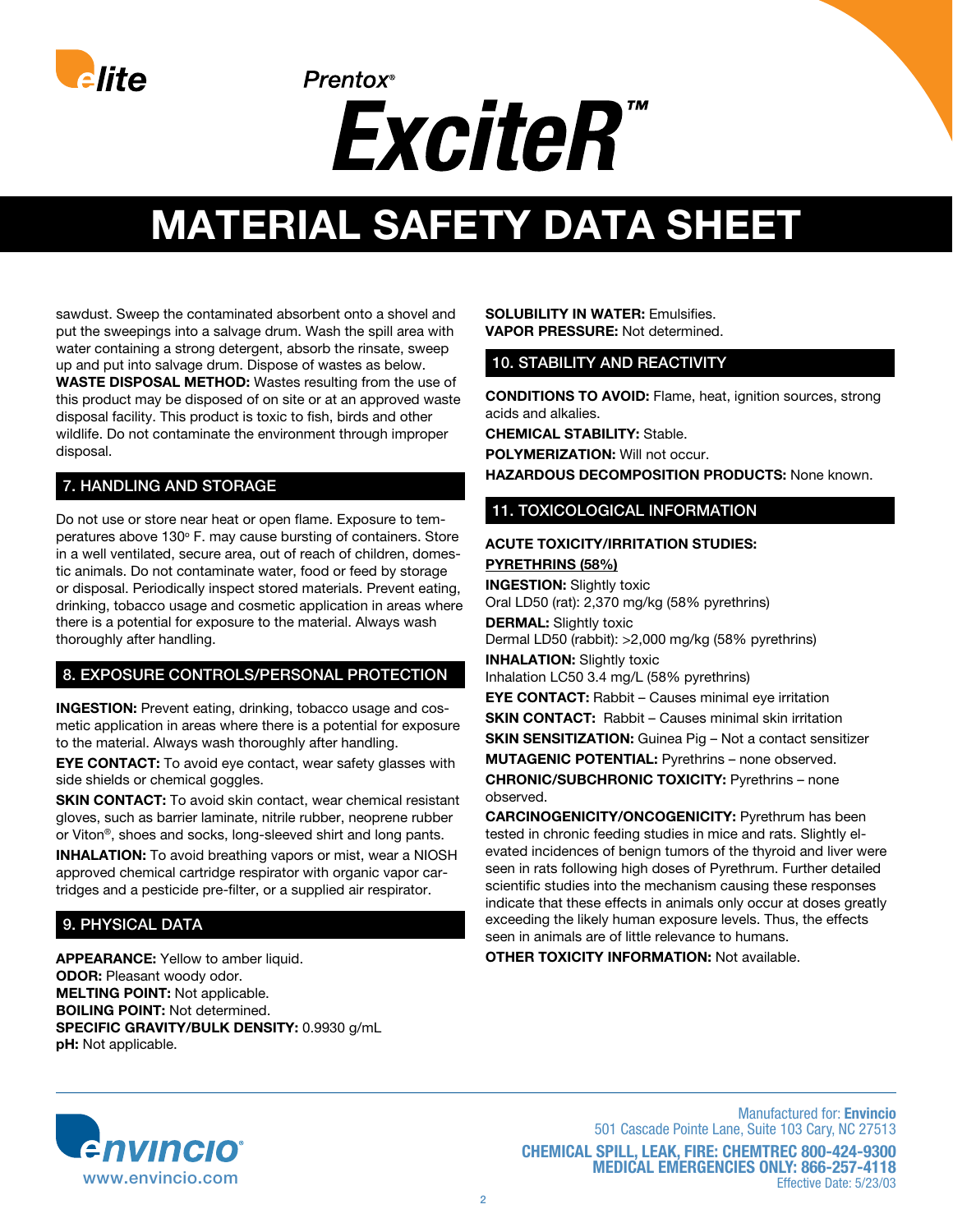

# **MATERIAL SAFETY DATA SHEET**

sawdust. Sweep the contaminated absorbent onto a shovel and put the sweepings into a salvage drum. Wash the spill area with water containing a strong detergent, absorb the rinsate, sweep up and put into salvage drum. Dispose of wastes as below. **Waste disposal method:** Wastes resulting from the use of this product may be disposed of on site or at an approved waste disposal facility. This product is toxic to fish, birds and other wildlife. Do not contaminate the environment through improper disposal.

# 7. HANDLING AND STORAGE

Do not use or store near heat or open flame. Exposure to temperatures above 130° F. may cause bursting of containers. Store in a well ventilated, secure area, out of reach of children, domestic animals. Do not contaminate water, food or feed by storage or disposal. Periodically inspect stored materials. Prevent eating, drinking, tobacco usage and cosmetic application in areas where there is a potential for exposure to the material. Always wash thoroughly after handling.

# 8. EXPOSURE CONTROLS/PersonAL PROTECTION

**Ingestion:** Prevent eating, drinking, tobacco usage and cosmetic application in areas where there is a potential for exposure to the material. Always wash thoroughly after handling.

**EYE CONTACT:** To avoid eye contact, wear safety glasses with side shields or chemical goggles.

**SKIN CONTACT:** To avoid skin contact, wear chemical resistant gloves, such as barrier laminate, nitrile rubber, neoprene rubber or Viton®, shoes and socks, long-sleeved shirt and long pants.

**INHALATION:** To avoid breathing vapors or mist, wear a NIOSH approved chemical cartridge respirator with organic vapor cartridges and a pesticide pre-filter, or a supplied air respirator.

# 9. PHYSICAL DATA

**Appearance:** Yellow to amber liquid. **ODOR: Pleasant woody odor. Melting Point:** Not applicable. **Boiling Point:** Not determined. **Specific gravity/Bulk Density:** 0.9930 g/mL **pH:** Not applicable.

#### **Solubility in Water:** Emulsifies. **Vapor Pressure:** Not determined.

#### 10. STABILITY AND REACTIVITY

**CONDITIONS TO AVOID:** Flame, heat, ignition sources, strong acids and alkalies.

**CHEMICAL STABILITY:** Stable.

**POLYMERIZATION: Will not occur.** 

**Hazardous decomposition products:** None known.

#### 11. TOXICOLOGICAL INFORMATION

#### **Acute toxicity/irritation studies: Pyrethrins (58%)**

**Ingestion:** Slightly toxic Oral LD50 (rat): 2,370 mg/kg (58% pyrethrins) **DERMAL:** Slightly toxic Dermal LD50 (rabbit): >2,000 mg/kg (58% pyrethrins) **INHALATION: Slightly toxic** Inhalation LC50 3.4 mg/L (58% pyrethrins) **EYE CONTACT:** Rabbit – Causes minimal eye irritation **SKIN CONTACT:** Rabbit – Causes minimal skin irritation **SKIN SENSITIZATION:** Guinea Pig – Not a contact sensitizer **Mutagenic Potential:** Pyrethrins – none observed.

**Chronic/Subchronic Toxicity:** Pyrethrins – none observed.

**CARCINOGENICITY/Oncogenicity:** Pyrethrum has been tested in chronic feeding studies in mice and rats. Slightly elevated incidences of benign tumors of the thyroid and liver were seen in rats following high doses of Pyrethrum. Further detailed scientific studies into the mechanism causing these responses indicate that these effects in animals only occur at doses greatly exceeding the likely human exposure levels. Thus, the effects seen in animals are of little relevance to humans.

**Other toxicity information:** Not available.

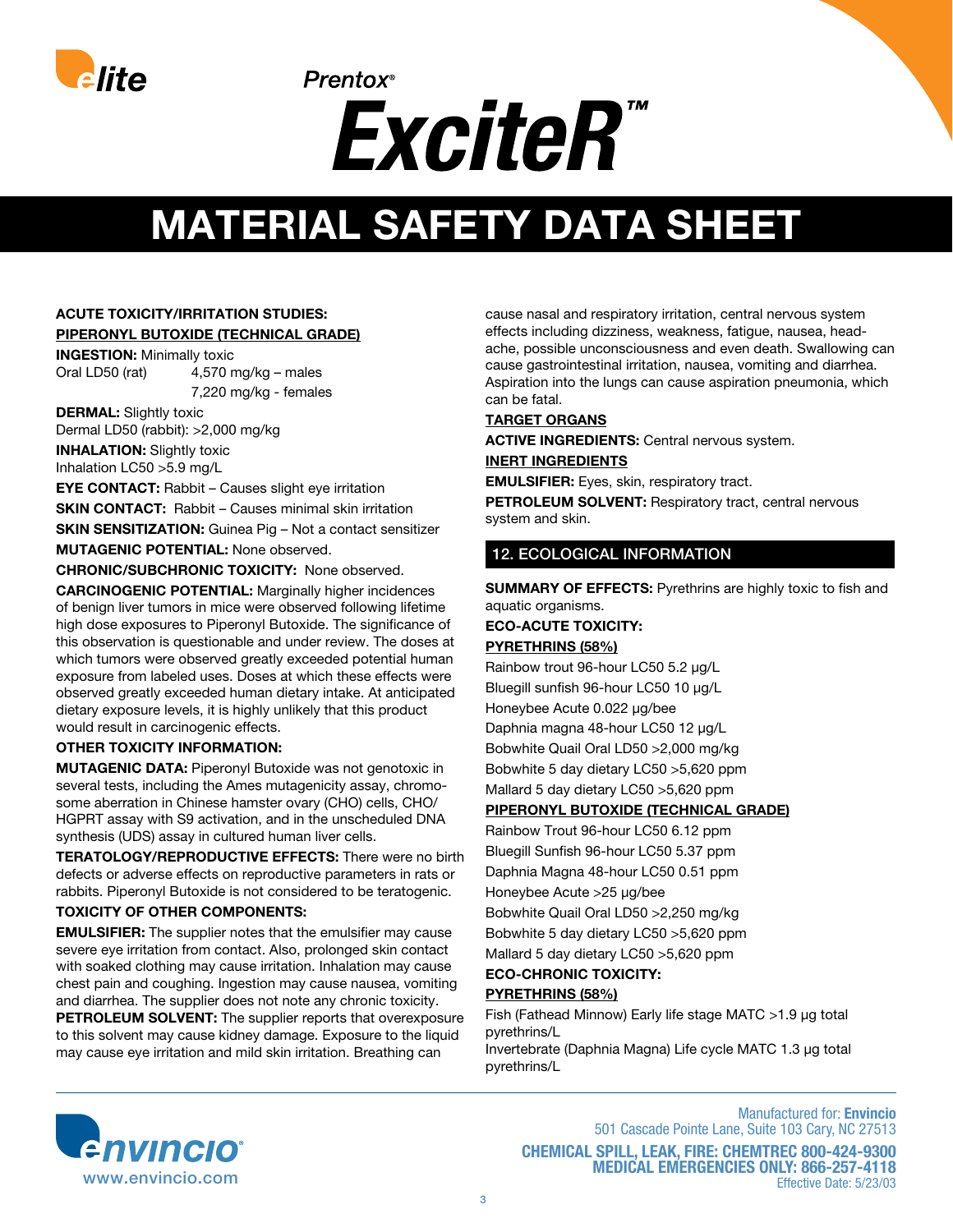

# **MATERIAL SAFETY DATA SHEET**

# **Acute toxicity/irritation studies: Piperonyl Butoxide (technical grade)**

**Ingestion:** Minimally toxic Oral LD50 (rat) 4,570 mg/kg – males 7,220 mg/kg - females

**DERMAL:** Slightly toxic Dermal LD50 (rabbit): >2,000 mg/kg **INHALATION: Slightly toxic** Inhalation LC50 >5.9 mg/L

**EYE CONTACT:** Rabbit – Causes slight eye irritation **SKIN CONTACT:** Rabbit – Causes minimal skin irritation **SKIN SENSITIZATION:** Guinea Pig – Not a contact sensitizer **Mutagenic Potential:** None observed.

**Chronic/Subchronic Toxicity:** None observed.

**CARCINOGENIC POTENTIAL:** Marginally higher incidences of benign liver tumors in mice were observed following lifetime high dose exposures to Piperonyl Butoxide. The significance of this observation is questionable and under review. The doses at which tumors were observed greatly exceeded potential human exposure from labeled uses. Doses at which these effects were observed greatly exceeded human dietary intake. At anticipated dietary exposure levels, it is highly unlikely that this product would result in carcinogenic effects.

#### **Other toxicity information:**

**MUTAGENIC DATA:** Piperonyl Butoxide was not genotoxic in several tests, including the Ames mutagenicity assay, chromosome aberration in Chinese hamster ovary (CHO) cells, CHO/ HGPRT assay with S9 activation, and in the unscheduled DNA synthesis (UDS) assay in cultured human liver cells.

**Teratology/Reproductive effects:** There were no birth defects or adverse effects on reproductive parameters in rats or rabbits. Piperonyl Butoxide is not considered to be teratogenic.

#### **Toxicity of other components:**

**EMULSIFIER:** The supplier notes that the emulsifier may cause severe eye irritation from contact. Also, prolonged skin contact with soaked clothing may cause irritation. Inhalation may cause chest pain and coughing. Ingestion may cause nausea, vomiting and diarrhea. The supplier does not note any chronic toxicity. **PETROLEUM SOLVENT:** The supplier reports that overexposure to this solvent may cause kidney damage. Exposure to the liquid may cause eye irritation and mild skin irritation. Breathing can

cause nasal and respiratory irritation, central nervous system effects including dizziness, weakness, fatigue, nausea, headache, possible unconsciousness and even death. Swallowing can cause gastrointestinal irritation, nausea, vomiting and diarrhea. Aspiration into the lungs can cause aspiration pneumonia, which can be fatal.

#### **Target Organs**

**Active Ingredients:** Central nervous system. **Inert Ingredients**

**EMULSIFIER:** Eyes, skin, respiratory tract.

**PETROLEUM SOLVENT: Respiratory tract, central nervous** system and skin.

## 12. ECOLOGICAL INFORMATION

**SUMMARY OF EFFECTS: Pyrethrins are highly toxic to fish and** aquatic organisms.

#### **Eco-Acute Toxicity: Pyrethrins (58%)**

Rainbow trout 96-hour LC50 5.2 μg/L Bluegill sunfish 96-hour LC50 10 μg/L Honeybee Acute 0.022 μg/bee Daphnia magna 48-hour LC50 12 μg/L Bobwhite Quail Oral LD50 >2,000 mg/kg Bobwhite 5 day dietary LC50 >5,620 ppm Mallard 5 day dietary LC50 >5,620 ppm

#### **Piperonyl Butoxide (technical grade)**

Rainbow Trout 96-hour LC50 6.12 ppm Bluegill Sunfish 96-hour LC50 5.37 ppm Daphnia Magna 48-hour LC50 0.51 ppm Honeybee Acute >25 μg/bee Bobwhite Quail Oral LD50 >2,250 mg/kg

Bobwhite 5 day dietary LC50 >5,620 ppm

Mallard 5 day dietary LC50 >5,620 ppm

**Eco-chronic Toxicity:**

## **Pyrethrins (58%)**

Fish (Fathead Minnow) Early life stage MATC >1.9 μg total pyrethrins/L Invertebrate (Daphnia Magna) Life cycle MATC 1.3 μg total

pyrethrins/L



Manufactured for: **Envincio** 501 Cascade Pointe Lane, Suite 103 Cary, NC 27513 **Chemical spill, leak, fire: Chemtrec 800-424-9300 medical Emergencies only: 866-257-4118** Effective Date: 5/23/03